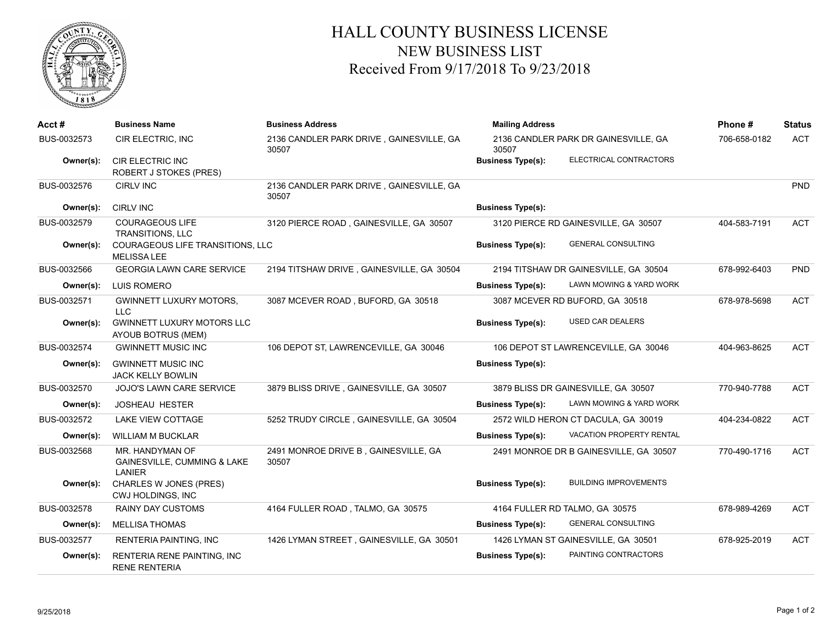

## HALL COUNTY BUSINESS LICENSE NEW BUSINESS LIST Received From 9/17/2018 To 9/23/2018

| Acct#       | <b>Business Name</b>                                     | <b>Business Address</b>                           | <b>Mailing Address</b>                                      | Phone#       | <b>Status</b> |
|-------------|----------------------------------------------------------|---------------------------------------------------|-------------------------------------------------------------|--------------|---------------|
| BUS-0032573 | CIR ELECTRIC, INC                                        | 2136 CANDLER PARK DRIVE, GAINESVILLE, GA<br>30507 | 2136 CANDLER PARK DR GAINESVILLE, GA<br>30507               | 706-658-0182 | <b>ACT</b>    |
| Owner(s):   | <b>CIR ELECTRIC INC</b><br><b>ROBERT J STOKES (PRES)</b> |                                                   | ELECTRICAL CONTRACTORS<br><b>Business Type(s):</b>          |              |               |
| BUS-0032576 | <b>CIRLV INC</b>                                         | 2136 CANDLER PARK DRIVE, GAINESVILLE, GA<br>30507 |                                                             |              | <b>PND</b>    |
| Owner(s):   | <b>CIRLV INC</b>                                         |                                                   | <b>Business Type(s):</b>                                    |              |               |
| BUS-0032579 | <b>COURAGEOUS LIFE</b><br><b>TRANSITIONS, LLC</b>        | 3120 PIERCE ROAD, GAINESVILLE, GA 30507           | 3120 PIERCE RD GAINESVILLE, GA 30507                        | 404-583-7191 | <b>ACT</b>    |
| Owner(s):   | COURAGEOUS LIFE TRANSITIONS, LLC<br><b>MELISSA LEE</b>   |                                                   | <b>GENERAL CONSULTING</b><br><b>Business Type(s):</b>       |              |               |
| BUS-0032566 | <b>GEORGIA LAWN CARE SERVICE</b>                         | 2194 TITSHAW DRIVE, GAINESVILLE, GA 30504         | 2194 TITSHAW DR GAINESVILLE, GA 30504                       | 678-992-6403 | <b>PND</b>    |
| Owner(s):   | LUIS ROMERO                                              |                                                   | LAWN MOWING & YARD WORK<br><b>Business Type(s):</b>         |              |               |
| BUS-0032571 | <b>GWINNETT LUXURY MOTORS,</b><br><b>LLC</b>             | 3087 MCEVER ROAD, BUFORD, GA 30518                | 3087 MCEVER RD BUFORD, GA 30518                             | 678-978-5698 | <b>ACT</b>    |
| Owner(s):   | <b>GWINNETT LUXURY MOTORS LLC</b><br>AYOUB BOTRUS (MEM)  |                                                   | <b>USED CAR DEALERS</b><br><b>Business Type(s):</b>         |              |               |
| BUS-0032574 | <b>GWINNETT MUSIC INC</b>                                | 106 DEPOT ST, LAWRENCEVILLE, GA 30046             | 106 DEPOT ST LAWRENCEVILLE, GA 30046                        | 404-963-8625 | <b>ACT</b>    |
| Owner(s):   | <b>GWINNETT MUSIC INC</b><br><b>JACK KELLY BOWLIN</b>    |                                                   | <b>Business Type(s):</b>                                    |              |               |
| BUS-0032570 | JOJO'S LAWN CARE SERVICE                                 | 3879 BLISS DRIVE, GAINESVILLE, GA 30507           | 3879 BLISS DR GAINESVILLE, GA 30507                         | 770-940-7788 | <b>ACT</b>    |
| Owner(s):   | <b>JOSHEAU HESTER</b>                                    |                                                   | LAWN MOWING & YARD WORK<br><b>Business Type(s):</b>         |              |               |
| BUS-0032572 | <b>LAKE VIEW COTTAGE</b>                                 | 5252 TRUDY CIRCLE, GAINESVILLE, GA 30504          | 2572 WILD HERON CT DACULA, GA 30019                         | 404-234-0822 | <b>ACT</b>    |
| Owner(s):   | <b>WILLIAM M BUCKLAR</b>                                 |                                                   | <b>VACATION PROPERTY RENTAL</b><br><b>Business Type(s):</b> |              |               |
| BUS-0032568 | MR. HANDYMAN OF<br>GAINESVILLE, CUMMING & LAKE<br>LANIER | 2491 MONROE DRIVE B, GAINESVILLE, GA<br>30507     | 2491 MONROE DR B GAINESVILLE, GA 30507                      | 770-490-1716 | <b>ACT</b>    |
| Owner(s):   | <b>CHARLES W JONES (PRES)</b><br>CWJ HOLDINGS, INC       |                                                   | <b>BUILDING IMPROVEMENTS</b><br><b>Business Type(s):</b>    |              |               |
| BUS-0032578 | <b>RAINY DAY CUSTOMS</b>                                 | 4164 FULLER ROAD, TALMO, GA 30575                 | 4164 FULLER RD TALMO, GA 30575                              | 678-989-4269 | <b>ACT</b>    |
| Owner(s):   | <b>MELLISA THOMAS</b>                                    |                                                   | <b>GENERAL CONSULTING</b><br><b>Business Type(s):</b>       |              |               |
| BUS-0032577 | <b>RENTERIA PAINTING, INC</b>                            | 1426 LYMAN STREET, GAINESVILLE, GA 30501          | 1426 LYMAN ST GAINESVILLE, GA 30501                         | 678-925-2019 | <b>ACT</b>    |
| Owner(s):   | RENTERIA RENE PAINTING, INC<br><b>RENE RENTERIA</b>      |                                                   | PAINTING CONTRACTORS<br><b>Business Type(s):</b>            |              |               |